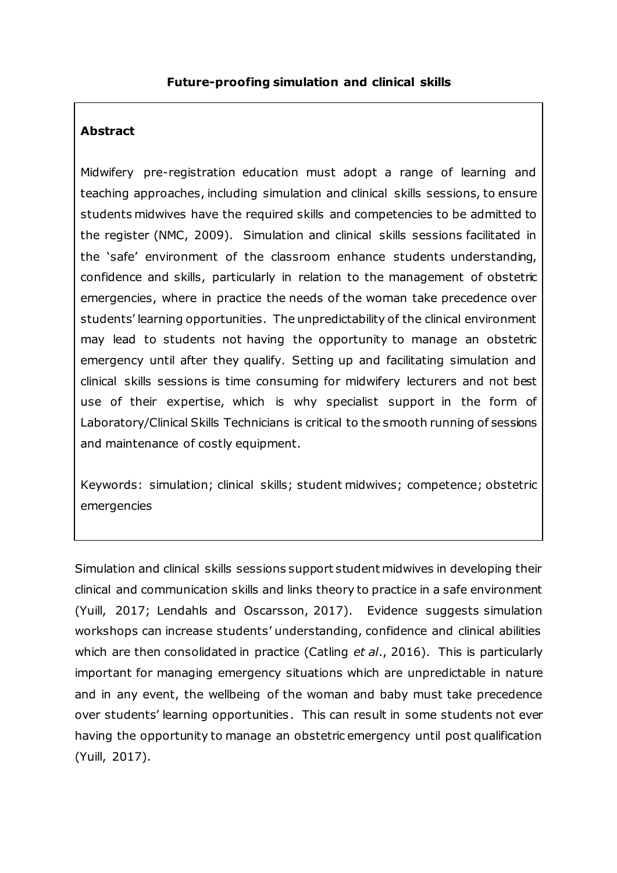### **Abstract**

Midwifery pre-registration education must adopt a range of learning and teaching approaches, including simulation and clinical skills sessions, to ensure students midwives have the required skills and competencies to be admitted to the register (NMC, 2009). Simulation and clinical skills sessions facilitated in the 'safe' environment of the classroom enhance students understanding, confidence and skills, particularly in relation to the management of obstetric emergencies, where in practice the needs of the woman take precedence over students' learning opportunities. The unpredictability of the clinical environment may lead to students not having the opportunity to manage an obstetric emergency until after they qualify. Setting up and facilitating simulation and clinical skills sessions is time consuming for midwifery lecturers and not best use of their expertise, which is why specialist support in the form of Laboratory/Clinical Skills Technicians is critical to the smooth running of sessions and maintenance of costly equipment.

Keywords: simulation; clinical skills; student midwives; competence; obstetric emergencies

Simulation and clinical skills sessions support student midwives in developing their clinical and communication skills and links theory to practice in a safe environment (Yuill, 2017; Lendahls and Oscarsson, 2017). Evidence suggests simulation workshops can increase students' understanding, confidence and clinical abilities which are then consolidated in practice (Catling *et al*., 2016). This is particularly important for managing emergency situations which are unpredictable in nature and in any event, the wellbeing of the woman and baby must take precedence over students' learning opportunities. This can result in some students not ever having the opportunity to manage an obstetric emergency until post qualification (Yuill, 2017).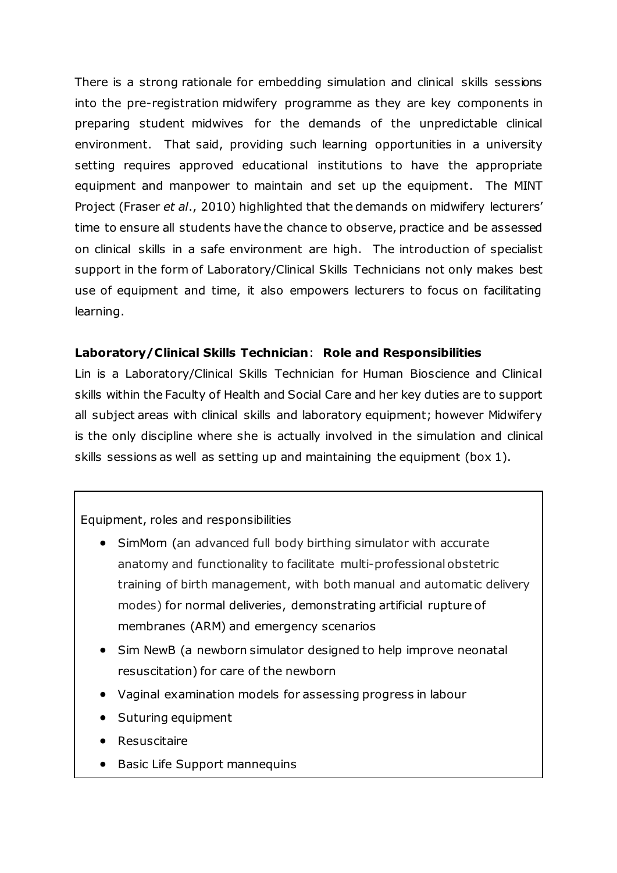There is a strong rationale for embedding simulation and clinical skills sessions into the pre-registration midwifery programme as they are key components in preparing student midwives for the demands of the unpredictable clinical environment. That said, providing such learning opportunities in a university setting requires approved educational institutions to have the appropriate equipment and manpower to maintain and set up the equipment. The MINT Project (Fraser *et al*., 2010) highlighted that the demands on midwifery lecturers' time to ensure all students have the chance to observe, practice and be assessed on clinical skills in a safe environment are high. The introduction of specialist support in the form of Laboratory/Clinical Skills Technicians not only makes best use of equipment and time, it also empowers lecturers to focus on facilitating learning.

### **Laboratory/Clinical Skills Technician**: **Role and Responsibilities**

Lin is a Laboratory/Clinical Skills Technician for Human Bioscience and Clinical skills within the Faculty of Health and Social Care and her key duties are to support all subject areas with clinical skills and laboratory equipment; however Midwifery is the only discipline where she is actually involved in the simulation and clinical skills sessions as well as setting up and maintaining the equipment (box 1).

### Equipment, roles and responsibilities

- SimMom (an advanced full body birthing simulator with accurate anatomy and functionality to facilitate multi-professional obstetric training of birth management, with both manual and automatic delivery modes) for normal deliveries, demonstrating artificial rupture of membranes (ARM) and emergency scenarios
- Sim NewB (a newborn simulator designed to help improve neonatal resuscitation) for care of the newborn
- Vaginal examination models for assessing progress in labour
- Suturing equipment
- **Resuscitaire**
- Basic Life Support mannequins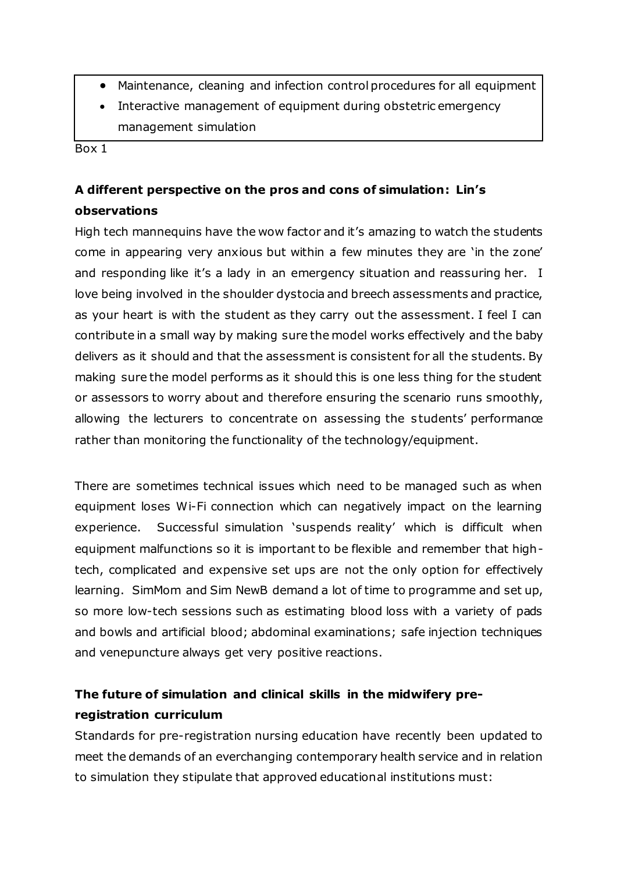- Maintenance, cleaning and infection control procedures for all equipment
- Interactive management of equipment during obstetric emergency management simulation

Box 1

# **A different perspective on the pros and cons of simulation: Lin's observations**

High tech mannequins have the wow factor and it's amazing to watch the students come in appearing very anxious but within a few minutes they are 'in the zone' and responding like it's a lady in an emergency situation and reassuring her. I love being involved in the shoulder dystocia and breech assessments and practice, as your heart is with the student as they carry out the assessment. I feel I can contribute in a small way by making sure the model works effectively and the baby delivers as it should and that the assessment is consistent for all the students. By making sure the model performs as it should this is one less thing for the student or assessors to worry about and therefore ensuring the scenario runs smoothly, allowing the lecturers to concentrate on assessing the students' performance rather than monitoring the functionality of the technology/equipment.

There are sometimes technical issues which need to be managed such as when equipment loses Wi-Fi connection which can negatively impact on the learning experience. Successful simulation 'suspends reality' which is difficult when equipment malfunctions so it is important to be flexible and remember that hightech, complicated and expensive set ups are not the only option for effectively learning. SimMom and Sim NewB demand a lot of time to programme and set up, so more low-tech sessions such as estimating blood loss with a variety of pads and bowls and artificial blood; abdominal examinations; safe injection techniques and venepuncture always get very positive reactions.

# **The future of simulation and clinical skills in the midwifery preregistration curriculum**

Standards for pre-registration nursing education have recently been updated to meet the demands of an everchanging contemporary health service and in relation to simulation they stipulate that approved educational institutions must: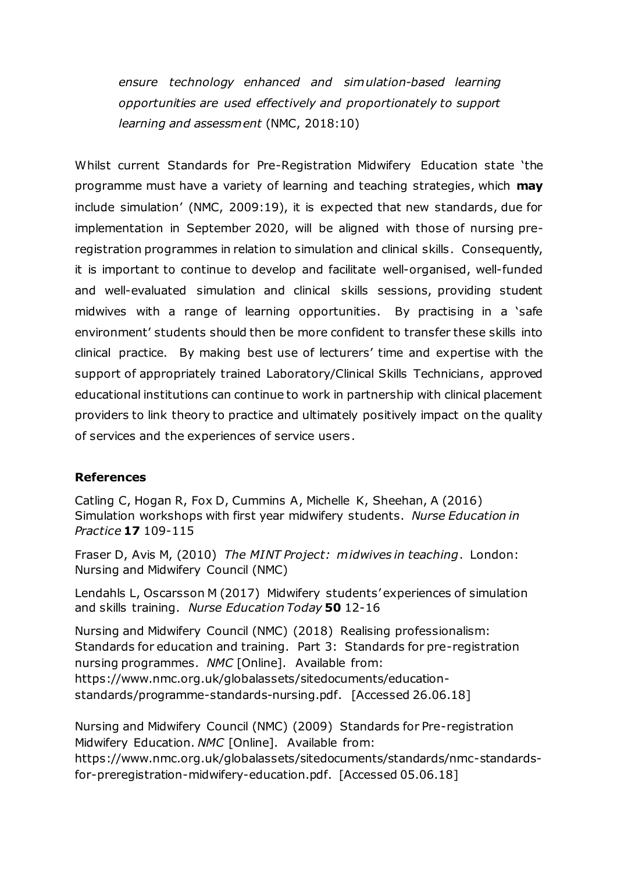*ensure technology enhanced and simulation-based learning opportunities are used effectively and proportionately to support learning and assessment* (NMC, 2018:10)

Whilst current Standards for Pre-Registration Midwifery Education state 'the programme must have a variety of learning and teaching strategies, which **may** include simulation' (NMC, 2009:19), it is expected that new standards, due for implementation in September 2020, will be aligned with those of nursing preregistration programmes in relation to simulation and clinical skills. Consequently, it is important to continue to develop and facilitate well-organised, well-funded and well-evaluated simulation and clinical skills sessions, providing student midwives with a range of learning opportunities. By practising in a 'safe environment' students should then be more confident to transfer these skills into clinical practice. By making best use of lecturers' time and expertise with the support of appropriately trained Laboratory/Clinical Skills Technicians, approved educational institutions can continue to work in partnership with clinical placement providers to link theory to practice and ultimately positively impact on the quality of services and the experiences of service users.

### **References**

Catling C, Hogan R, Fox D, Cummins A, Michelle K, Sheehan, A (2016) Simulation workshops with first year midwifery students. *Nurse Education in Practice* **17** 109-115

Fraser D, Avis M, (2010) *The MINT Project: midwives in teaching*. London: Nursing and Midwifery Council (NMC)

Lendahls L, Oscarsson M (2017) Midwifery students' experiences of simulation and skills training. *Nurse Education Today* **50** 12-16

Nursing and Midwifery Council (NMC) (2018) Realising professionalism: Standards for education and training. Part 3: Standards for pre-registration nursing programmes. *NMC* [Online]. Available from: https://www.nmc.org.uk/globalassets/sitedocuments/educationstandards/programme-standards-nursing.pdf. [Accessed 26.06.18]

Nursing and Midwifery Council (NMC) (2009) Standards for Pre-registration Midwifery Education. *NMC* [Online]. Available from: [https://www.nmc.org.uk/globalassets/sitedocuments/standards/nmc-standards](https://www.nmc.org.uk/globalassets/sitedocuments/standards/nmc-standards-for-preregistration-midwifery-education.pdf)[for-preregistration-midwifery-education.pdf](https://www.nmc.org.uk/globalassets/sitedocuments/standards/nmc-standards-for-preregistration-midwifery-education.pdf). [Accessed 05.06.18]